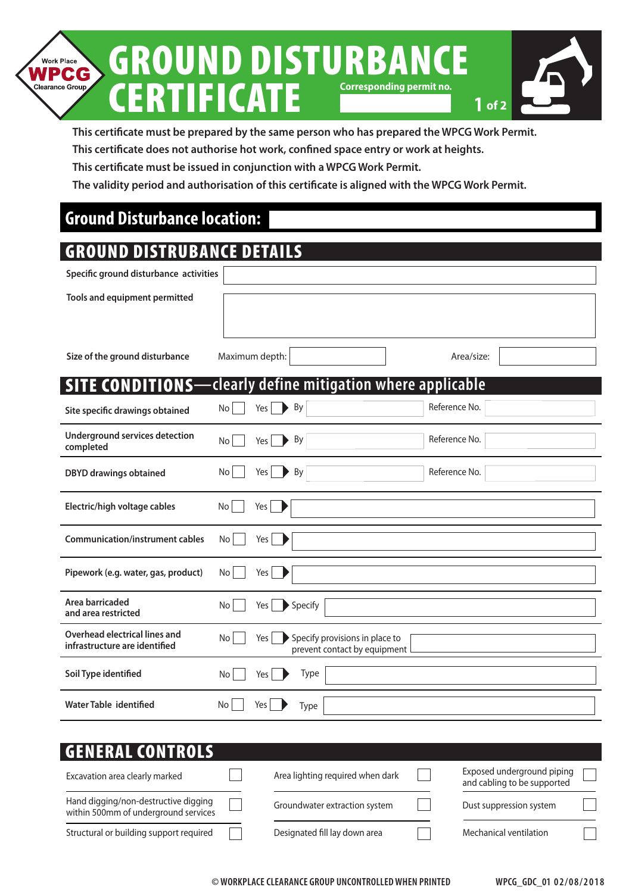

**This certificate must be prepared by the same person who has prepared the WPCG Work Permit.**

**This certificate does not authorise hot work, confined space entry or work at heights.**

**This certificate must be issued in conjunction with a WPCG Work Permit.**

**The validity period and authorisation of this certificate is aligned with the WPCG Work Permit.**

# **Ground Disturbance location:**

### GROUND DISTRUBANCE DETAILS

| Specific ground disturbance activities                         |                                                                                    |
|----------------------------------------------------------------|------------------------------------------------------------------------------------|
| Tools and equipment permitted                                  |                                                                                    |
|                                                                |                                                                                    |
| Size of the ground disturbance                                 | Maximum depth:<br>Area/size:                                                       |
| <b>SITE CONDITIONS-</b>                                        | clearly define mitigation where applicable                                         |
| Site specific drawings obtained                                | Reference No.<br>By<br>Yes<br>No                                                   |
| <b>Underground services detection</b><br>completed             | Reference No.<br>By<br>No<br>Yes                                                   |
| <b>DBYD drawings obtained</b>                                  | Reference No.<br>By<br>No<br>Yes                                                   |
| Electric/high voltage cables                                   | No<br>Yes                                                                          |
| <b>Communication/instrument cables</b>                         | No<br>Yes                                                                          |
| Pipework (e.g. water, gas, product)                            | No<br>Yes                                                                          |
| Area barricaded<br>and area restricted                         | Specify<br>Yes<br>No                                                               |
| Overhead electrical lines and<br>infrastructure are identified | Specify provisions in place to<br><b>No</b><br>Yes<br>prevent contact by equipment |
| Soil Type identified                                           | Type<br>No<br>Yes                                                                  |
| <b>Water Table identified</b>                                  | No<br>Yes<br>Type                                                                  |

| <b>GENERAL CONTROLS</b>                                                      |                                  |                                                           |  |
|------------------------------------------------------------------------------|----------------------------------|-----------------------------------------------------------|--|
| Excavation area clearly marked                                               | Area lighting required when dark | Exposed underground piping<br>and cabling to be supported |  |
| Hand digging/non-destructive digging<br>within 500mm of underground services | Groundwater extraction system    | Dust suppression system                                   |  |
| Structural or building support required                                      | Designated fill lay down area    | Mechanical ventilation                                    |  |